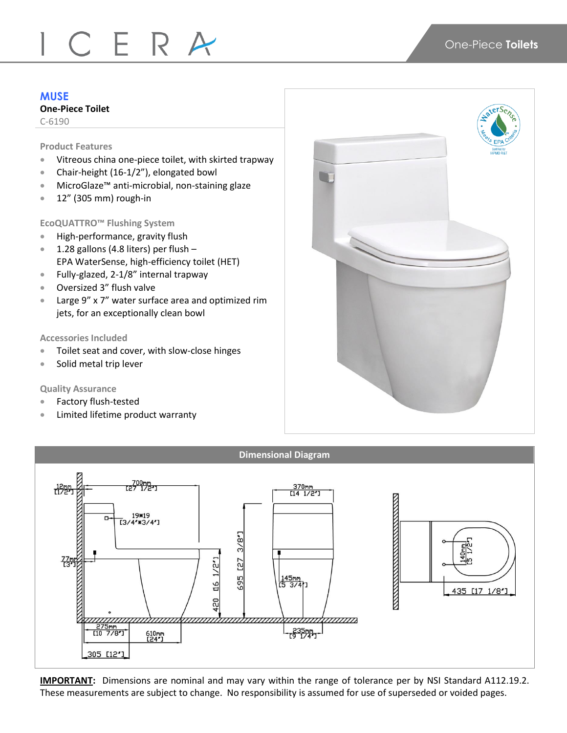# CERA

# **MUSE**

# **One-Piece Toilet**

C-6190

#### **Product Features**

- Vitreous china one-piece toilet, with skirted trapway
- Chair-height (16-1/2"), elongated bowl
- MicroGlaze™ anti-microbial, non-staining glaze
- 12" (305 mm) rough-in

## **EcoQUATTRO™ Flushing System**

- **•** High-performance, gravity flush
- $\bullet$  1.28 gallons (4.8 liters) per flush -EPA WaterSense, high-efficiency toilet (HET)
- Fully-glazed, 2-1/8" internal trapway
- Oversized 3" flush valve
- Large 9" x 7" water surface area and optimized rim jets, for an exceptionally clean bowl

### **Accessories Included**

- **Toilet seat and cover, with slow-close hinges**
- Solid metal trip lever

# **Quality Assurance**

- Factory flush-tested
- Limited lifetime product warranty





**IMPORTANT:** Dimensions are nominal and may vary within the range of tolerance per by NSI Standard A112.19.2. These measurements are subject to change. No responsibility is assumed for use of superseded or voided pages.